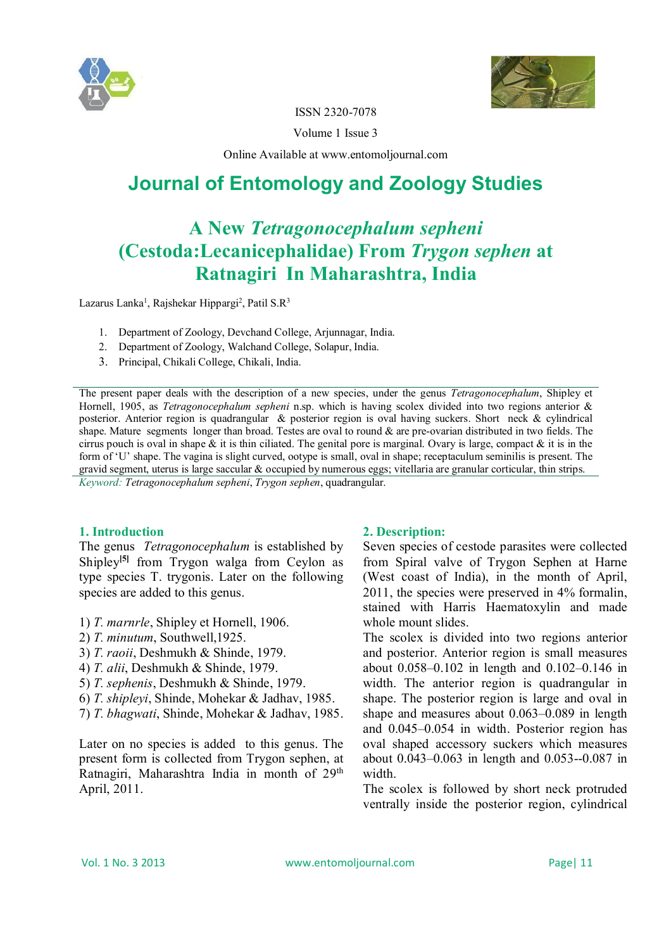



ISSN 2320-7078

Volume 1 Issue 3

Online Available at www.entomoljournal.com

# **Journal of Entomology and Zoology Studies**

## **A New** *Tetragonocephalum sepheni* **(Cestoda:Lecanicephalidae) From** *Trygon sephen* **at Ratnagiri In Maharashtra, India**

Lazarus Lanka<sup>1</sup>, Rajshekar Hippargi<sup>2</sup>, Patil S.R<sup>3</sup>

- 1. Department of Zoology, Devchand College, Arjunnagar, India.
- 2. Department of Zoology, Walchand College, Solapur, India.
- 3. Principal, Chikali College, Chikali, India.

The present paper deals with the description of a new species, under the genus *Tetragonocephalum*, Shipley et Hornell, 1905, as *Tetragonocephalum sepheni* n.sp. which is having scolex divided into two regions anterior & posterior. Anterior region is quadrangular & posterior region is oval having suckers. Short neck & cylindrical shape. Mature segments longer than broad. Testes are oval to round & are pre-ovarian distributed in two fields. The cirrus pouch is oval in shape  $\&$  it is thin ciliated. The genital pore is marginal. Ovary is large, compact  $\&$  it is in the form of 'U' shape. The vagina is slight curved, ootype is small, oval in shape; receptaculum seminilis is present. The gravid segment, uterus is large saccular & occupied by numerous eggs; vitellaria are granular corticular, thin strips.

*Keyword: Tetragonocephalum sepheni*, *Trygon sephen*, quadrangular.

#### **1. Introduction**

The genus *Tetragonocephalum* is established by Shipley<sup>[5]</sup> from Trygon walga from Ceylon as type species T. trygonis. Later on the following species are added to this genus.

- 1) *T. marnrle*, Shipley et Hornell, 1906.
- 2) *T. minutum*, Southwell,1925.
- 3) *T. raoii*, Deshmukh & Shinde, 1979.
- 4) *T. alii*, Deshmukh & Shinde, 1979.
- 5) *T. sephenis*, Deshmukh & Shinde, 1979.
- 6) *T. shipleyi*, Shinde, Mohekar & Jadhav, 1985.
- 7) *T. bhagwati*, Shinde, Mohekar & Jadhav, 1985.

Later on no species is added to this genus. The present form is collected from Trygon sephen, at Ratnagiri, Maharashtra India in month of 29<sup>th</sup> April, 2011.

### **2. Description:**

Seven species of cestode parasites were collected from Spiral valve of Trygon Sephen at Harne (West coast of India), in the month of April, 2011, the species were preserved in 4% formalin, stained with Harris Haematoxylin and made whole mount slides.

The scolex is divided into two regions anterior and posterior. Anterior region is small measures about 0.058–0.102 in length and 0.102–0.146 in width. The anterior region is quadrangular in shape. The posterior region is large and oval in shape and measures about 0.063–0.089 in length and 0.045–0.054 in width. Posterior region has oval shaped accessory suckers which measures about 0.043–0.063 in length and 0.053--0.087 in width.

The scolex is followed by short neck protruded ventrally inside the posterior region, cylindrical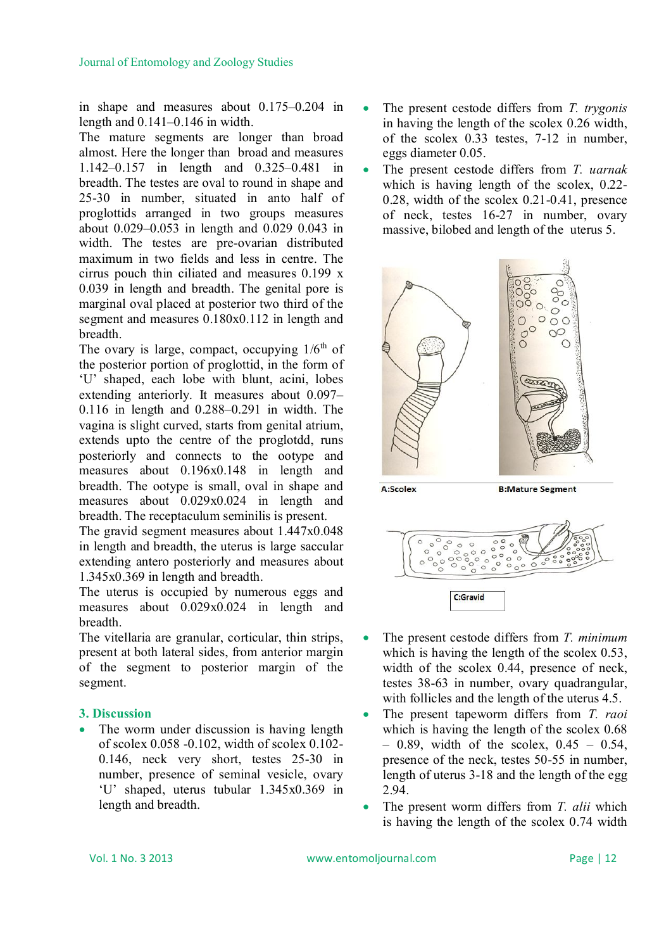in shape and measures about 0.175–0.204 in length and 0.141–0.146 in width.

The mature segments are longer than broad almost. Here the longer than broad and measures 1.142–0.157 in length and 0.325–0.481 in breadth. The testes are oval to round in shape and 25-30 in number, situated in anto half of proglottids arranged in two groups measures about 0.029–0.053 in length and 0.029 0.043 in width. The testes are pre-ovarian distributed maximum in two fields and less in centre. The cirrus pouch thin ciliated and measures 0.199 x 0.039 in length and breadth. The genital pore is marginal oval placed at posterior two third of the segment and measures 0.180x0.112 in length and breadth.

The ovary is large, compact, occupying  $1/6<sup>th</sup>$  of the posterior portion of proglottid, in the form of 'U' shaped, each lobe with blunt, acini, lobes extending anteriorly. It measures about 0.097– 0.116 in length and 0.288–0.291 in width. The vagina is slight curved, starts from genital atrium, extends upto the centre of the proglotdd, runs posteriorly and connects to the ootype and measures about 0.196x0.148 in length and breadth. The ootype is small, oval in shape and measures about 0.029x0.024 in length and breadth. The receptaculum seminilis is present.

The gravid segment measures about 1.447x0.048 in length and breadth, the uterus is large saccular extending antero posteriorly and measures about 1.345x0.369 in length and breadth.

The uterus is occupied by numerous eggs and measures about 0.029x0.024 in length and breadth.

The vitellaria are granular, corticular, thin strips, present at both lateral sides, from anterior margin of the segment to posterior margin of the segment.

### **3. Discussion**

 The worm under discussion is having length of scolex 0.058 -0.102, width of scolex 0.102- 0.146, neck very short, testes 25-30 in number, presence of seminal vesicle, ovary 'U' shaped, uterus tubular 1.345x0.369 in length and breadth.

- The present cestode differs from *T. trygonis* in having the length of the scolex 0.26 width, of the scolex 0.33 testes, 7-12 in number, eggs diameter 0.05.
- The present cestode differs from *T. uarnak* which is having length of the scolex, 0.22- 0.28, width of the scolex 0.21-0.41, presence of neck, testes 16-27 in number, ovary massive, bilobed and length of the uterus 5.



A:Scolex

**B:Mature Segment** 



- The present cestode differs from *T. minimum* which is having the length of the scolex 0.53, width of the scolex 0.44, presence of neck, testes 38-63 in number, ovary quadrangular, with follicles and the length of the uterus 4.5.
- The present tapeworm differs from *T. raoi* which is having the length of the scolex 0.68  $-$  0.89, width of the scolex, 0.45 – 0.54, presence of the neck, testes 50-55 in number, length of uterus 3-18 and the length of the egg 2.94.
- The present worm differs from *T. alii* which is having the length of the scolex 0.74 width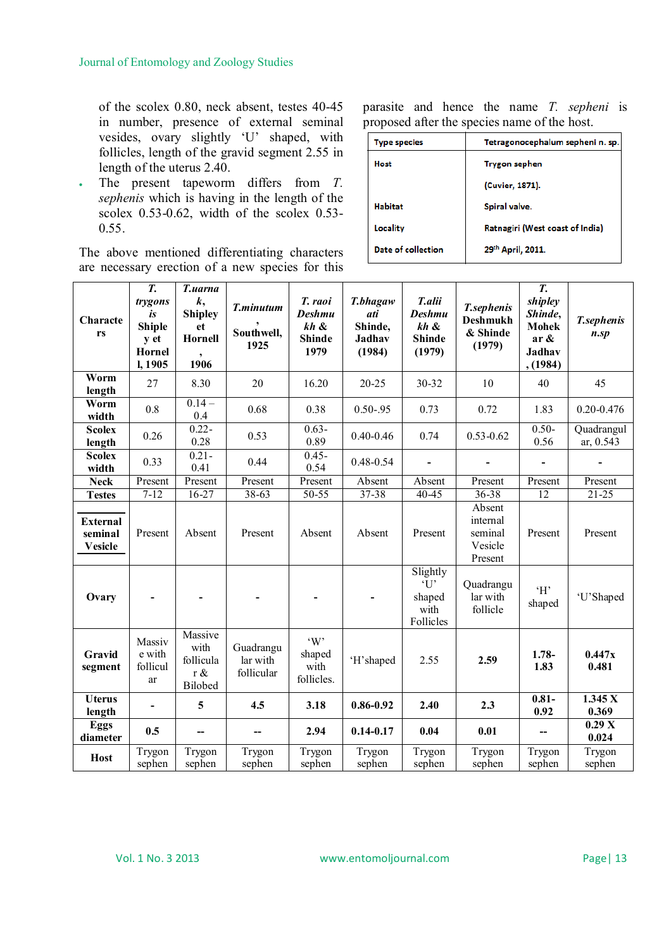of the scolex 0.80, neck absent, testes 40-45 in number, presence of external seminal vesides, ovary slightly 'U' shaped, with follicles, length of the gravid segment 2.55 in length of the uterus 2.40.

 The present tapeworm differs from *T. sephenis* which is having in the length of the scolex  $0.53-0.62$ , width of the scolex  $0.53-$ 0.55.

The above mentioned differentiating characters are necessary erection of a new species for this parasite and hence the name *T. sepheni* is proposed after the species name of the host.

| <b>Type species</b> | Tetragonocephalum sepheni n. sp. |  |
|---------------------|----------------------------------|--|
| Host                | Trygon sephen                    |  |
|                     | (Cuvier, 1871).                  |  |
| <b>Habitat</b>      | Spiral valve.                    |  |
| Locality            | Ratnagiri (West coast of India)  |  |
| Date of collection  | 29th April, 2011.                |  |

| Characte<br>rs                        | T.<br>trygons<br>is<br><b>Shiple</b><br>y et<br>Hornel<br>I, 1905 | T.uarna<br>$\boldsymbol{k},$<br><b>Shipley</b><br>et<br>Hornell<br>1906 | T.minutum<br>Southwell,<br>1925     | T. raoi<br><b>Deshmu</b><br>kh &<br><b>Shinde</b><br>1979 | T.bhagaw<br>ati<br>Shinde,<br><b>Jadhav</b><br>(1984) | T.alii<br><b>Deshmu</b><br>kh &<br><b>Shinde</b><br>(1979) | <b>T</b> .sephenis<br><b>Deshmukh</b><br>& Shinde<br>(1979) | T.<br>shipley<br>Shinde,<br><b>Mohek</b><br>$ar \&$<br><b>Jadhav</b><br>, (1984) | T.sephenis<br>$n$ .sp   |
|---------------------------------------|-------------------------------------------------------------------|-------------------------------------------------------------------------|-------------------------------------|-----------------------------------------------------------|-------------------------------------------------------|------------------------------------------------------------|-------------------------------------------------------------|----------------------------------------------------------------------------------|-------------------------|
| Worm<br>length                        | 27                                                                | 8.30                                                                    | 20                                  | 16.20                                                     | $20 - 25$                                             | 30-32                                                      | 10                                                          | 40                                                                               | 45                      |
| Worm<br>width                         | 0.8                                                               | $0.14 -$<br>0.4                                                         | 0.68                                | 0.38                                                      | $0.50 - 95$                                           | 0.73                                                       | 0.72                                                        | 1.83                                                                             | $0.20 - 0.476$          |
| <b>Scolex</b><br>length               | 0.26                                                              | $0.22 -$<br>0.28                                                        | 0.53                                | $0.63 -$<br>0.89                                          | $0.40 - 0.46$                                         | 0.74                                                       | $0.53 - 0.62$                                               | $0.50-$<br>0.56                                                                  | Quadrangul<br>ar, 0.543 |
| <b>Scolex</b><br>width                | 0.33                                                              | $0.21 -$<br>0.41                                                        | 0.44                                | $0.45 -$<br>0.54                                          | $0.48 - 0.54$                                         | $\blacksquare$                                             |                                                             |                                                                                  |                         |
| <b>Neck</b>                           | Present                                                           | Present                                                                 | Present                             | Present                                                   | Absent                                                | Absent                                                     | Present                                                     | Present                                                                          | Present                 |
| <b>Testes</b>                         | $7 - 12$                                                          | $16-27$                                                                 | $38 - 63$                           | 50-55                                                     | $37 - 38$                                             | 40-45                                                      | $36 - 38$                                                   | $\overline{12}$                                                                  | $21 - 25$               |
| External<br>seminal<br><b>Vesicle</b> | Present                                                           | Absent                                                                  | Present                             | Absent                                                    | Absent                                                | Present                                                    | Absent<br>internal<br>seminal<br>Vesicle<br>Present         | Present                                                                          | Present                 |
| Ovary                                 |                                                                   |                                                                         |                                     |                                                           |                                                       | Slightly<br>$\mathcal{I}$<br>shaped<br>with<br>Follicles   | Quadrangu<br>lar with<br>follicle                           | 'H'<br>shaped                                                                    | 'U'Shaped               |
| Gravid<br>segment                     | Massiv<br>e with<br>follicul<br>ar                                | Massive<br>with<br>follicula<br>r &<br>Bilobed                          | Guadrangu<br>lar with<br>follicular | $\cdot$ W<br>shaped<br>with<br>follicles.                 | 'H'shaped                                             | 2.55                                                       | 2.59                                                        | $1.78 -$<br>1.83                                                                 | 0.447x<br>0.481         |
| <b>Uterus</b><br>length               |                                                                   | 5                                                                       | 4.5                                 | 3.18                                                      | $0.86 - 0.92$                                         | 2.40                                                       | 2.3                                                         | $0.81 -$<br>0.92                                                                 | 1.345 X<br>0.369        |
| Eggs<br>diameter                      | 0.5                                                               | --                                                                      | $-$                                 | 2.94                                                      | $0.14 - 0.17$                                         | 0.04                                                       | 0.01                                                        | $-$                                                                              | 0.29X<br>0.024          |
| <b>Host</b>                           | Trygon<br>sephen                                                  | Trygon<br>sephen                                                        | Trygon<br>sephen                    | Trygon<br>sephen                                          | Trygon<br>sephen                                      | Trygon<br>sephen                                           | Trygon<br>sephen                                            | Trygon<br>sephen                                                                 | Trygon<br>sephen        |